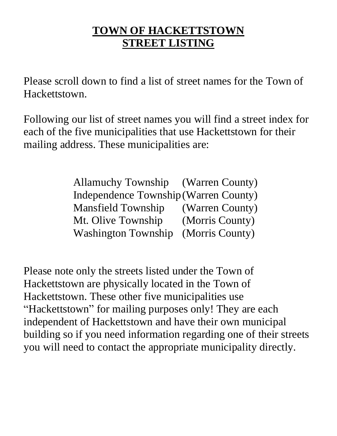# **TOWN OF HACKETTSTOWN STREET LISTING**

Please scroll down to find a list of street names for the Town of Hackettstown.

Following our list of street names you will find a street index for each of the five municipalities that use Hackettstown for their mailing address. These municipalities are:

> Allamuchy Township (Warren County) Independence Township(Warren County) Mansfield Township (Warren County) Mt. Olive Township (Morris County) Washington Township (Morris County)

Please note only the streets listed under the Town of Hackettstown are physically located in the Town of Hackettstown. These other five municipalities use "Hackettstown" for mailing purposes only! They are each independent of Hackettstown and have their own municipal building so if you need information regarding one of their streets you will need to contact the appropriate municipality directly.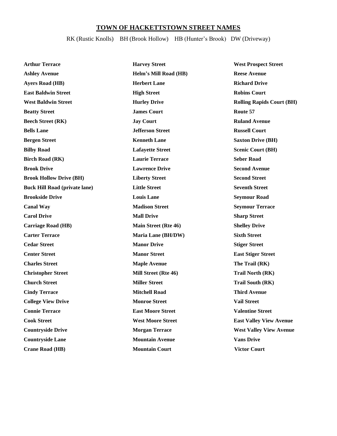## **TOWN OF HACKETTSTOWN STREET NAMES**

## RK (Rustic Knolls) BH (Brook Hollow) HB (Hunter's Brook) DW (Driveway)

| <b>Arthur Terrace</b>                | <b>Harvey Street</b>        | <b>West Prospect Street</b>      |
|--------------------------------------|-----------------------------|----------------------------------|
| <b>Ashley Avenue</b>                 | Helm's Mill Road (HB)       | <b>Reese Avenue</b>              |
| <b>Ayers Road (HB)</b>               | <b>Herbert Lane</b>         | <b>Richard Drive</b>             |
| <b>East Baldwin Street</b>           | <b>High Street</b>          | <b>Robins Court</b>              |
| <b>West Baldwin Street</b>           | <b>Hurley Drive</b>         | <b>Rolling Rapids Court (BH)</b> |
| <b>Beatty Street</b>                 | <b>James Court</b>          | Route 57                         |
| <b>Beech Street (RK)</b>             | <b>Jay Court</b>            | <b>Ruland Avenue</b>             |
| <b>Bells Lane</b>                    | <b>Jefferson Street</b>     | <b>Russell Court</b>             |
| <b>Bergen Street</b>                 | <b>Kenneth Lane</b>         | <b>Saxton Drive (BH)</b>         |
| <b>Bilby Road</b>                    | <b>Lafayette Street</b>     | <b>Scenic Court (BH)</b>         |
| <b>Birch Road (RK)</b>               | <b>Laurie Terrace</b>       | <b>Seber Road</b>                |
| <b>Brook Drive</b>                   | <b>Lawrence Drive</b>       | <b>Second Avenue</b>             |
| <b>Brook Hollow Drive (BH)</b>       | <b>Liberty Street</b>       | <b>Second Street</b>             |
| <b>Buck Hill Road (private lane)</b> | <b>Little Street</b>        | <b>Seventh Street</b>            |
| <b>Brookside Drive</b>               | <b>Louis Lane</b>           | <b>Seymour Road</b>              |
| <b>Canal Way</b>                     | <b>Madison Street</b>       | <b>Seymour Terrace</b>           |
| <b>Carol Drive</b>                   | <b>Mall Drive</b>           | <b>Sharp Street</b>              |
| <b>Carriage Road (HB)</b>            | <b>Main Street (Rte 46)</b> | <b>Shelley Drive</b>             |
| <b>Carter Terrace</b>                | Maria Lane (BH/DW)          | <b>Sixth Street</b>              |
| <b>Cedar Street</b>                  | <b>Manor Drive</b>          | <b>Stiger Street</b>             |
| <b>Center Street</b>                 | <b>Manor Street</b>         | <b>East Stiger Street</b>        |
| <b>Charles Street</b>                | <b>Maple Avenue</b>         | The Trail (RK)                   |
| <b>Christopher Street</b>            | Mill Street (Rte 46)        | <b>Trail North (RK)</b>          |
| <b>Church Street</b>                 | <b>Miller Street</b>        | <b>Trail South (RK)</b>          |
| <b>Cindy Terrace</b>                 | <b>Mitchell Road</b>        | <b>Third Avenue</b>              |
| <b>College View Drive</b>            | <b>Monroe Street</b>        | <b>Vail Street</b>               |
| <b>Connie Terrace</b>                | <b>East Moore Street</b>    | <b>Valentine Street</b>          |
| <b>Cook Street</b>                   | <b>West Moore Street</b>    | <b>East Valley View Avenue</b>   |
| <b>Countryside Drive</b>             | <b>Morgan Terrace</b>       | <b>West Valley View Avenue</b>   |
| <b>Countryside Lane</b>              | <b>Mountain Avenue</b>      | <b>Vans Drive</b>                |
| <b>Crane Road (HB)</b>               | <b>Mountain Court</b>       | <b>Victor Court</b>              |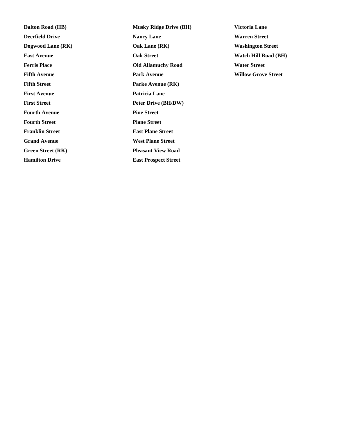**Fifth Street Parke Avenue (RK) First Avenue Patricia Lane Fourth Avenue Pine Street Fourth Street Plane Street Franklin Street East Plane Street Grand Avenue West Plane Street Green Street (RK) Pleasant View Road Hamilton Drive East Prospect Street**

**Dalton Road (HB) Musky Ridge Drive (BH) Victoria Lane Deerfield Drive Nancy Lane Warren Street Warren Street Dogwood Lane (RK) Oak Lane (RK) Washington Street East Avenue Oak Street Watch Hill Road (BH) Ferris Place Old Allamuchy Road Water Street Fifth Avenue Park Avenue Willow Grove Street First Street Peter Drive (BH/DW)**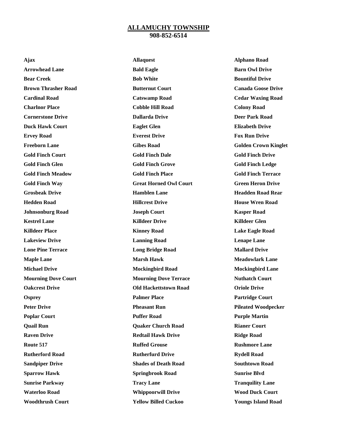#### **ALLAMUCHY TOWNSHIP 908-852-6514**

**Ajax Allaquest Alphano Road Arrowhead Lane Bald Eagle Barn Owl Drive Bear Creek Bob White Bountiful Drive Brown Thrasher Road <b>Butternut Court Canada Goose Drive Cardinal Road Catswamp Road Cedar Waxing Road Charlnor Place Cobble Hill Road Colony Road Cornerstone Drive Dallarda Drive Deer Park Road Duck Hawk Court Eaglet Glen Elizabeth Drive Ervey Road Everest Drive Fox Run Drive Freeborn Lane Gibes Road Golden Crown Kinglet Gold Finch Court Gold Finch Dale Gold Finch Drive Gold Finch Glen Gold Finch Grove Gold Finch Ledge Gold Finch Meadow Gold Finch Place Gold Finch Terrace Gold Finch Way Great Horned Owl Court Green Heron Drive Grosbeak Drive Hamblen Lane Headden Road Rear Hedden Road Hillcrest Drive House Wren Road Johnsonburg Road Joseph Court Kasper Road Kestrel Lane Killdeer Drive Killdeer Glen Killdeer Place Kinney Road Lake Eagle Road Lakeview Drive Lanning Road Lenape Lane Lone Pine Terrace Long Bridge Road Mallard Drive Maple Lane Marsh Hawk Meadowlark Lane Michael Drive Mockingbird Road Mockingbird Lane Mourning Dove Court Mourning Dove Terrace Nuthatch Court Oakcrest Drive Old Hackettstown Road Oriole Drive Palmer Place Partridge Court Partridge Court Peter Drive Pheasant Run Pileated Woodpecker Poplar Court Puffer Road Purple Martin Quail Run Quaker Church Road Rianer Court Raven Drive Redtail Hawk Drive Ridge Road Route 517 Ruffed Grouse Ruffed Grouse Rushmore Lane Rutherford Road Rutherfurd Drive Rydell Road Sandpiper Drive Shades of Death Road Southtown Road Sparrow Hawk Springbrook Road Sunrise Blvd Sunrise Parkway Tracy Lane Tranquility Lane Waterloo Road Whippoorwill Drive Wood Duck Court**

**Woodthrush Court Yellow Billed Cuckoo Youngs Island Road**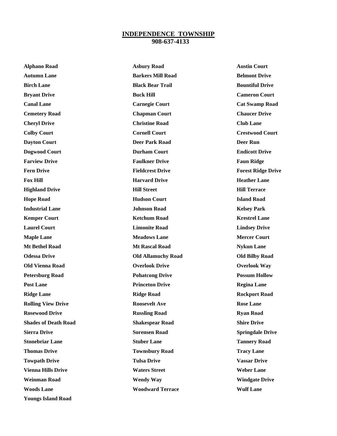#### **INDEPENDENCE TOWNSHIP 908-637-4133**

| <b>Alphano Road</b>         | <b>Asbury Road</b>        | <b>Austin Court</b>       |
|-----------------------------|---------------------------|---------------------------|
| <b>Autumn Lane</b>          | <b>Barkers Mill Road</b>  | <b>Belmont Drive</b>      |
| <b>Birch Lane</b>           | <b>Black Bear Trail</b>   | <b>Bountiful Drive</b>    |
| <b>Bryant Drive</b>         | <b>Buck Hill</b>          | <b>Cameron Court</b>      |
| <b>Canal Lane</b>           | <b>Carnegie Court</b>     | <b>Cat Swamp Road</b>     |
| <b>Cemetery Road</b>        | <b>Chapman Court</b>      | <b>Chaucer Drive</b>      |
| <b>Cheryl Drive</b>         | <b>Christine Road</b>     | <b>Club Lane</b>          |
| <b>Colby Court</b>          | <b>Cornell Court</b>      | <b>Crestwood Court</b>    |
| <b>Dayton Court</b>         | <b>Deer Park Road</b>     | <b>Deer Run</b>           |
| <b>Dogwood Court</b>        | <b>Durham Court</b>       | <b>Endicott Drive</b>     |
| <b>Farview Drive</b>        | <b>Faulkner Drive</b>     | <b>Faun Ridge</b>         |
| <b>Fern Drive</b>           | <b>Fieldcrest Drive</b>   | <b>Forest Ridge Drive</b> |
| <b>Fox Hill</b>             | <b>Harvard Drive</b>      | <b>Heather Lane</b>       |
| <b>Highland Drive</b>       | <b>Hill Street</b>        | <b>Hill Terrace</b>       |
| <b>Hope Road</b>            | <b>Hudson Court</b>       | <b>Island Road</b>        |
| <b>Industrial Lane</b>      | <b>Johnson Road</b>       | <b>Kelsey Park</b>        |
| <b>Kemper Court</b>         | <b>Ketchum Road</b>       | <b>Krestrel Lane</b>      |
| <b>Laurel Court</b>         | <b>Limonite Road</b>      | <b>Lindsey Drive</b>      |
| <b>Maple Lane</b>           | <b>Meadows Lane</b>       | <b>Mercer Court</b>       |
| <b>Mt Bethel Road</b>       | <b>Mt Rascal Road</b>     | <b>Nykun Lane</b>         |
| <b>Odessa Drive</b>         | <b>Old Allamuchy Road</b> | <b>Old Bilby Road</b>     |
| <b>Old Vienna Road</b>      | <b>Overlook Drive</b>     | <b>Overlook Way</b>       |
| <b>Petersburg Road</b>      | <b>Pohatcong Drive</b>    | <b>Possum Hollow</b>      |
| <b>Post Lane</b>            | <b>Princeton Drive</b>    | <b>Regina Lane</b>        |
| <b>Ridge Lane</b>           | <b>Ridge Road</b>         | <b>Rockport Road</b>      |
| <b>Rolling View Drive</b>   | <b>Roosevelt Ave</b>      | <b>Rose Lane</b>          |
| <b>Rosewood Drive</b>       | <b>Russling Road</b>      | <b>Ryan Road</b>          |
| <b>Shades of Death Road</b> | <b>Shakespear Road</b>    | <b>Shire Drive</b>        |
| <b>Sierra Drive</b>         | <b>Sorensen Road</b>      | <b>Springdale Drive</b>   |
| <b>Stonebriar Lane</b>      | <b>Stuber Lane</b>        | <b>Tannery Road</b>       |
| <b>Thomas Drive</b>         | <b>Townsbury Road</b>     | <b>Tracy Lane</b>         |
| <b>Towpath Drive</b>        | <b>Tulsa Drive</b>        | <b>Vassar Drive</b>       |
| <b>Vienna Hills Drive</b>   | <b>Waters Street</b>      | <b>Weber Lane</b>         |
| <b>Weinman Road</b>         | <b>Wendy Way</b>          | <b>Windgate Drive</b>     |
| <b>Woods Lane</b>           | <b>Woodward Terrace</b>   | <b>Wulf Lane</b>          |
|                             |                           |                           |

**Youngs Island Road**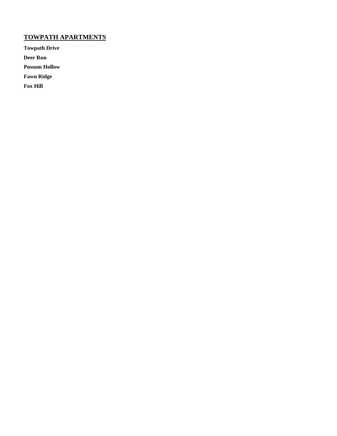# **TOWPATH APARTMENTS**

**Towpath Drive**

**Deer Run**

**Possum Hollow**

**Fawn Ridge**

**Fox Hill**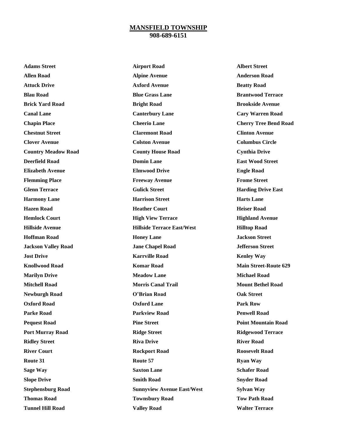#### **MANSFIELD TOWNSHIP 908-689-6151**

**Adams Street Airport Road Albert Street**

**Allen Road Alpine Avenue Anderson Road Attuck Drive Axford Avenue Beatty Road Blau Road Blue Grass Lane Brantwood Terrace Brick Yard Road Bright Road Brookside Avenue Canal Lane Canterbury Lane Cary Warren Road Chapin Place Cheerio Lane Cherry Tree Bend Road Chestnut Street Claremont Road Clinton Avenue Clover Avenue Colston Avenue Columbus Circle Country Meadow Road County House Road Cynthia Drive Deerfield Road Domin Lane East Wood Street Elizabeth Avenue Elmwood Drive Engle Road Flemming Place Freeway Avenue Frome Street Glenn Terrace Gulick Street Harding Drive East Harmony Lane Harrison Street Harts Lane Hazen Road Heather Court Heiser Road Hemlock Court High View Terrace Highland Avenue Hillside Avenue Hillside Terrace East/West Hilltop Road Hoffman Road Honey Lane Jackson Street Jackson Valley Road Jane Chapel Road Jefferson Street Jost Drive Karrville Road Kenley Way Knollwood Road Komar Road Main Street-Route 629 Marilyn Drive Meadow Lane Michael Road Mitchell Road Morris Canal Trail Mount Bethel Road Newburgh Road O'Brian Road Oak Street Oxford Road Oxford Lane Park Row Parke Road Parkview Road Penwell Road Pequest Road Pine Street Point Mountain Road Port Murray Road Ridge Street Ridgewood Terrace Ridley Street Riva Drive River Road River Court Rockport Road Roosevelt Road Route 31 Route 57 Ryan Way Sage Way Saxton Lane Saxton Lane Schafer Road Slope Drive Smith Road Snyder Road Stephensburg Road Sunnyview Avenue East/West Sylvan Way Thomas Road Townsbury Road Tow Path Road Tunnel Hill Road Valley Road Walter Terrace**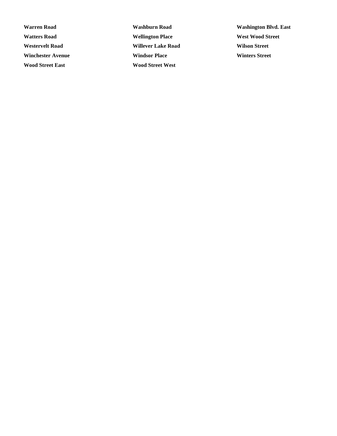**Watters Road Wellington Place West Wood Street Westervelt Road Willever Lake Road Wilson Street Winchester Avenue Windsor Place Winters Street Wood Street East Wood Street West**

**Warren Road Washburn Road Washington Blvd. East**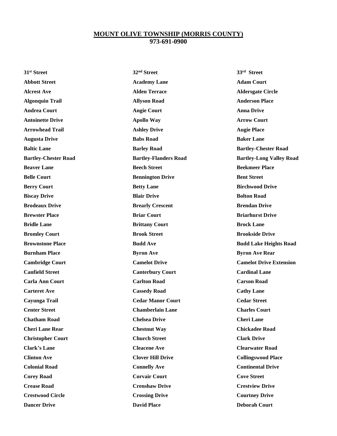#### **MOUNT OLIVE TOWNSHIP (MORRIS COUNTY) 973-691-0900**

**31st Street 32nd Street 33rd**

**Abbott Street Academy Lane Adam Court Alcrest Ave Alden Terrace Aldersgate Circle Algonquin Trail Allyson Road Anderson Place Andrea Court Angie Court Anna Drive Antoinette Drive Apollo Way Arrow Court Arrowhead Trail Ashley Drive Augie Place Augusta Drive Babs Road Baker Lane Beaver Lane Beech Street Beekmeer Place Belle Court Bennington Drive Bent Street Berry Court 6 Court 2008 Betty Lane 3 Court Betty Lane Birchwood Drive Biscay Drive Blair Drive Bolton Road Brodeaux Drive Brearly Crescent Brendan Drive Brewster Place Briar Court Briarhurst Drive Bridle Lane Brittany Court Brock Lane Bromley Court Brook Street Brookside Drive Burnham Place Byron Ave Byron Ave Byron Ave Byron Ave Rear Canfield Street Canterbury Court Cardinal Lane Carla Ann Court Carlton Road Carson Road Carteret Ave Cassedy Road Carteret Ave Cassedy Road Cathy Lane Cayunga Trail Cedar Manor Court Cedar Street Center Street Chamberlain Lane Charles Court Chatham Road Chelsea Drive Cheri Lane Cheri Lane Rear Chestnut Way Chickadee Road Christopher Court Church Street Clark Drive Clark's Lane Cleacene Ave Clearwater Road Clinton Ave Clover Hill Drive Collingswood Place Colonial Road Connelly Ave Continental Drive Corey Road Corvair Court Cove Street Crease Road Crenshaw Drive Crestview Drive Crestwood Circle Crossing Drive Courtney Drive**

 **Street Baltic Lane Barley Road Bartley-Chester Road Bartley-Chester Road Bartley-Flanders Road Bartley-Long Valley Road Brownstone Place Budd Ave Budd Lake Heights Road Cambridge Court Camelot Drive Camelot Drive Extension Dancer Drive David Place Deborah Court**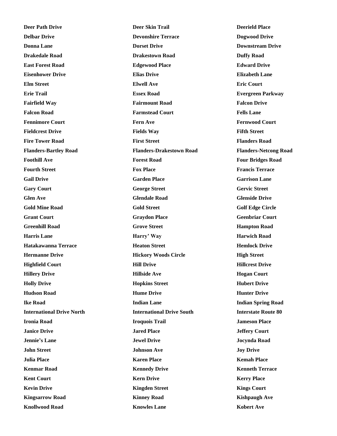**Deer Path Drive Deer Skin Trail Deerield Place**

**Delbar Drive Devonshire Terrace Dogwood Drive Donna Lane Downstream Drive Downstream Drive Downstream Drive Drakedale Road Drakestown Road Duffy Road East Forest Road Edgewood Place Edward Drive Eisenhower Drive Elias Drive Elizabeth Lane Elm Street Elwell Ave Eric Court Erie Trail Essex Road Evergreen Parkway Fairfield Way Fairmount Road Falcon Drive Falcon Road Farmstead Court Fells Lane Fennimore Court Fern Ave Fernwood Court Fieldcrest Drive Fields Way Fifth Street Fire Tower Road First Street First Street Figure 2 Figure 2 Figure 2 Figure 2 Figure 2 Figure 2 Figure 2 Figure 2 Figure 2 Figure 2 Figure 2 Figure 2 Figure 2 Figure 2 Figure 2 Figure 2 Flanders-Bartley Road Flanders-Drakestown Road Flanders-Netcong Road Foothill Ave Forest Road Four Bridges Road Fourth Street Fox Place Francis Terrace Gail Drive Garden Place Garrison Lane Gary Court George Street Gervic Street Glen Ave Glendale Road Glenside Drive Gold Mine Road Gold Street Golf Edge Circle Grant Court Graydon Place Geenbriar Court Greenhill Road Grove Street Hampton Road Harris Lane Harry' Way Harwich Road Hatakawanna Terrace Heaton Street Hemlock Drive Hermanne Drive Hickory Woods Circle High Street Highfield Court Hill Drive Hillcrest Drive Hillery Drive Hillside Ave Hogan Court Holly Drive Hopkins Street Hubert Drive Hudson Road Hume Drive Hunter Drive Ike Road Indian Lane Indian Spring Road International Drive North International Drive South Interstate Route 80 Ironia Road Iroquois Trail Jameson Place Janice Drive Jared Place Jeffery Court Jennie's Lane Jewel Drive Jocynda Road John Street Johnson Ave Joy Drive Julia Place Karen Place Kemah Place Kenmar Road Kennedy Drive Kenneth Terrace Kent Court Kern Drive Kerry Place Kevin Drive Kingden Street Kings Court Kingsarrow Road Kinney Road Kishpaugh Ave Knollwood Road Knowles Lane Kobert Ave**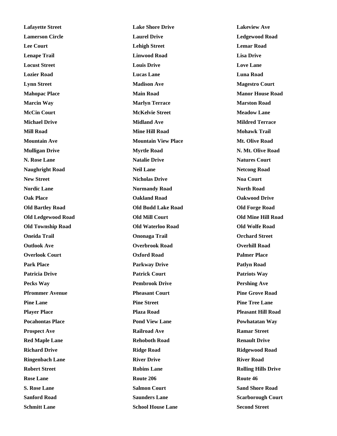**Lafayette Street Lake Shore Drive Lakeview Ave Lamerson Circle Laurel Drive Ledgewood Road Lee Court Lehigh Street Lemar Road Lenape Trail Linwood Road Lisa Drive Locust Street Louis Drive Love Lane Lozier Road Lucas Lane Luna Road Lynn Street Madison Ave Magestro Court Mahopac Place Main Road Manor House Road Marcin Way Marlyn Terrace Marston Road McCin Court McKelvie Street Meadow Lane Michael Drive Midland Ave Mildred Terrace Mill Road Mine Hill Road Mohawk Trail Mountain Ave Mountain View Place Mt. Olive Road Mulligan Drive Myrtle Road N. Mt. Olive Road N. Rose Lane Natalie Drive Natures Court Naughright Road Neil Lane Netcong Road Netcong Road New Street Nicholas Drive Noa Court Nordic Lane Normandy Road North Road Oak Place Oakland Road Oakwood Drive Old Bartley Road Old Budd Lake Road Old Forge Road Old Ledgewood Road Old Mill Court Old Mine Hill Road Old Township Road Old Waterloo Road Old Wolfe Road Oneida Trail Ononaga Trail Orchard Street Outlook Ave Overbrook Road Overhill Road Overlook Court Oxford Road Palmer Place Park Place Parkway Drive Patlyn Road Patricia Drive Patrick Court Patriots Way Pecks Way Pembrook Drive Pershing Ave Pfrommer Avenue Pheasant Court Pine Grove Road Pine Lane Pine Street Pine Tree Lane Player Place Plaza Road Pleasant Hill Road Pocahontas Place Pond View Lane Powhatatan Way Prospect Ave Railroad Ave <b>Railroad Ave Ramar Street Red Maple Lane Rehoboth Road Renault Drive Renault Drive Richard Drive Ridge Road Ridgewood Road Ringenbach Lane River Drive River Road Robert Street Robins Lane Rolling Hills Drive Rose Lane Route 206 Route 206 Route 46 S. Rose Lane Salmon Court Sand Shore Road Sanford Road Saunders Lane Scarborough Court**

**Schmitt Lane School House Lane Second Street**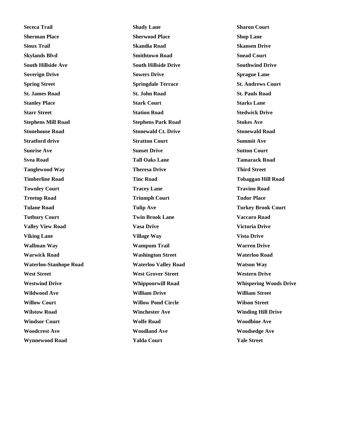**Sececa Trail Shady Lane Sharon Court Sherman Place Sherwood Place Shop Lane Sioux Trail Skandia Road Skansen Drive Skylands Blvd Smithtown Road Snead Court South Hillside Ave South Hillside Drive Southwind Drive Soverign Drive Sowers Drive Sprague Lane Spring Street Springdale Terrace St. Andrews Court St. James Road St. John Road St. Pauls Road Stanley Place Stark Court Starks Lane Starr Street Station Road Stedwick Drive Stephens Mill Road Stephens Park Road Stokes Ave Stonehouse Road Stonewald Ct. Drive Stonewald Road Stratford drive Stratton Court Summit Ave Sunrise Ave Sunset Drive Sutton Court Svea Road Tall Oaks Lane Tamarack Road Tanglewood Way Theresa Drive Third Street Timberline Road Tinc Road Tobaggan Hill Road Townley Court Tracey Lane Tracey Lane Travino Road Treetop Road Triumph Court Triumph Court Tudor Place Tulane Road Tulip Ave Turkey Brook Court Tutbury Court Twin Brook Lane Vaccaro Road Valley View Road Vasa Drive Victoria Drive Viking Lane Village Way Vista Drive Wallman Way Wampum Trail Warren Drive Warwick Road Washington Street Waterloo Road Waterloo-Stanhope Road Waterloo Valley Road Watson Way West Street West Grover Street Western Drive Wildwood Ave William Drive William Street Willow Court Willow Pond Circle Wilson Street Wilstow Road Winchester Ave Winding Hill Drive Windsor Court Wolfe Road Woodbine Ave Woodcrest Ave Woodland Ave Woodsedge Ave Wynnewood Road Yalda Court Yale Street**

**Westwind Drive Whippoorwill Road Whispering Woods Drive**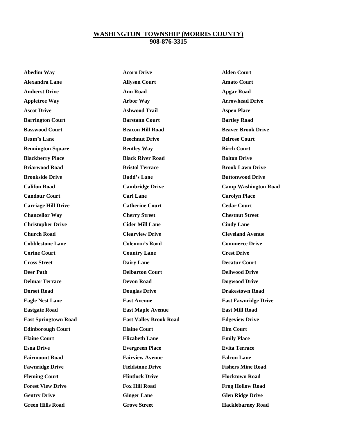#### **WASHINGTON TOWNSHIP (MORRIS COUNTY) 908-876-3315**

**Abedim Way Acorn Drive Alden Court Alexandra Lane Allyson Court Amato Court Amherst Drive Ann Road Apgar Road Appletree Way Arbor Way Arrowhead Drive Ascot Drive Ashwood Trail Aspen Place Barrington Court Barstann Court Bartley Road Basswood Court Beacon Hill Road Beaver Brook Drive Beam's Lane Beechnut Drive Belrose Court Bennington Square Bentley Way Birch Court Blackberry Place Black River Road Bolton Drive Briarwood Road Bristol Terrace Brook Lawn Drive Brookside Drive Budd's Lane Buttonwood Drive Candour Court Carl Lane Carolyn Place Carriage Hill Drive Catherine Court Cedar Court Chancellor Way Cherry Street Chestnut Street Christopher Drive Cider Mill Lane Cindy Lane Church Road Clearview Drive Cleveland Avenue Cobblestone Lane Coleman's Road Commerce Drive Corine Court Country Lane Crest Drive Crest Drive Cross Street Dairy Lane Decatur Court Deer Path Delbarton Court Dellwood Drive Delmar Terrace Devon Road Dogwood Drive Dorset Road Douglas Drive Drakestown Road Eastgate Road East Maple Avenue East Mill Road East Springtown Road East Valley Brook Road Edgeview Drive Edinborough Court Elaine Court Elm Court Elaine Court Elizabeth Lane Emily Place Esna Drive Evergreen Place Evita Terrace Fairmount Road Fairview Avenue Falcon Lane Fawnridge Drive Fieldstone Drive Fishers Mine Road Fleming Court Flintlock Drive Flocktown Road Forest View Drive Fox Hill Road Frog Hollow Road Gentry Drive Ginger Lane Glen Ridge Drive**

**Califon Road Cambridge Drive Camp Washington Road Eagle Nest Lane East Avenue East Fawnridge Drive Green Hills Road Grove Street Hacklebarney Road**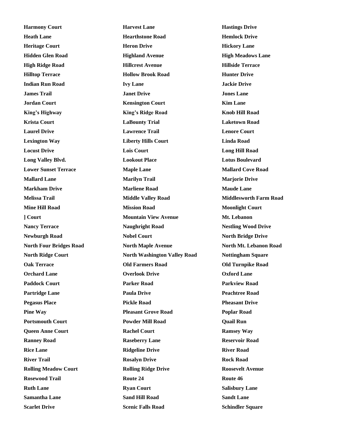**Harmony Court Harvest Lane Harvest Lane Hastings Drive** 

**Heath Lane Hearthstone Road Hemlock Drive Heritage Court Heron Drive Hickory Lane Hidden Glen Road Highland Avenue High Meadows Lane High Ridge Road Hillcrest Avenue Hillside Terrace Hilltop Terrace Hollow Brook Road Hunter Drive Indian Run Road Ivy Lane Jackie Drive James Trail Janet Drive Jones Lane Jordan Court Kensington Court Kim Lane King's Highway King's Ridge Road Knob Hill Road Krista Court LaBounty Trial Laketown Road Laurel Drive Lawrence Trail Lenore Court Lexington Way Liberty Hills Court Linda Road Locust Drive Lois Court Long Hill Road Long Valley Blvd. Lookout Place Lotus Boulevard Lower Sunset Terrace Maple Lane Mallard Cove Road Mallard Lane Marilyn Trail Marjorie Drive Markham Drive Marliene Road Maude Lane Melissa Trail Middle Valley Road Middlesworth Farm Road Mine Hill Road Mission Road Moonlight Court ] Court Mountain View Avenue Mt. Lebanon Nancy Terrace Naughright Road Nestling Wood Drive Newburgh Road Nobel Court North Bridge Drive North Four Bridges Road North Maple Avenue North Mt. Lebanon Road North Ridge Court North Washington Valley Road Nottingham Square Oak Terrace Old Farmers Road Old Turnpike Road Orchard Lane Overlook Drive Oxford Lane Paddock Court Parker Road Parkview Road Partridge Lane Paula Drive Peachtree Road Pegasus Place Pickle Road Pheasant Drive Pine Way Pleasant Grove Road Poplar Road Portsmouth Court Powder Mill Road Quail Run Queen Anne Court Rachel Court Ramsey Way Ranney Road Raseberry Lane Reservoir Road Rice Lane Ridgeline Drive River Road River Trail Rosalyn Drive Rock Road Rolling Meadow Court Rolling Ridge Drive Roosevelt Avenue Rosewood Trail Route 24 Route 46 Ruth Lane Ryan Court Salisbury Lane Samantha Lane Sand Hill Road Sandt Lane Scarlet Drive Scenic Falls Road Schindler Square Schindler Square**